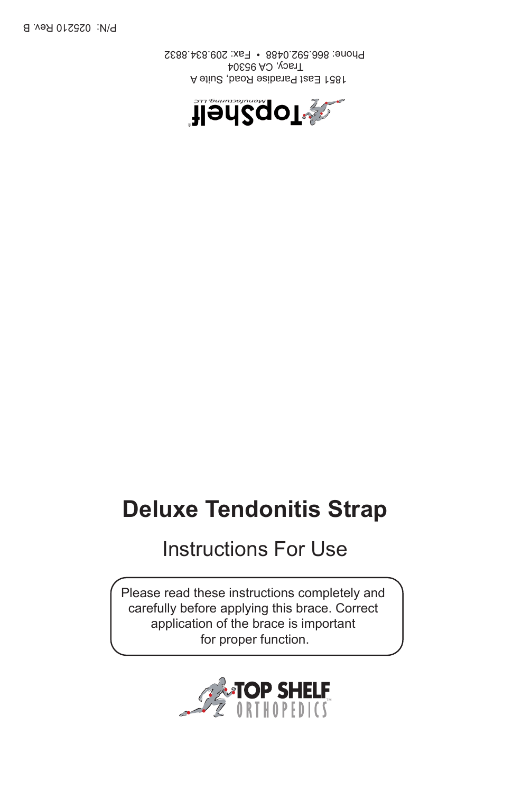

Please read these instructions completely and carefully before applying this brace. Correct application of the brace is important for proper function.

# Instructions For Use

# **Deluxe Tendonitis Strap**





 1851 East Paradise Road, Suite A Tracy, CA 95304 Phone: 866.592.0488 • Fax: 209.834.8832